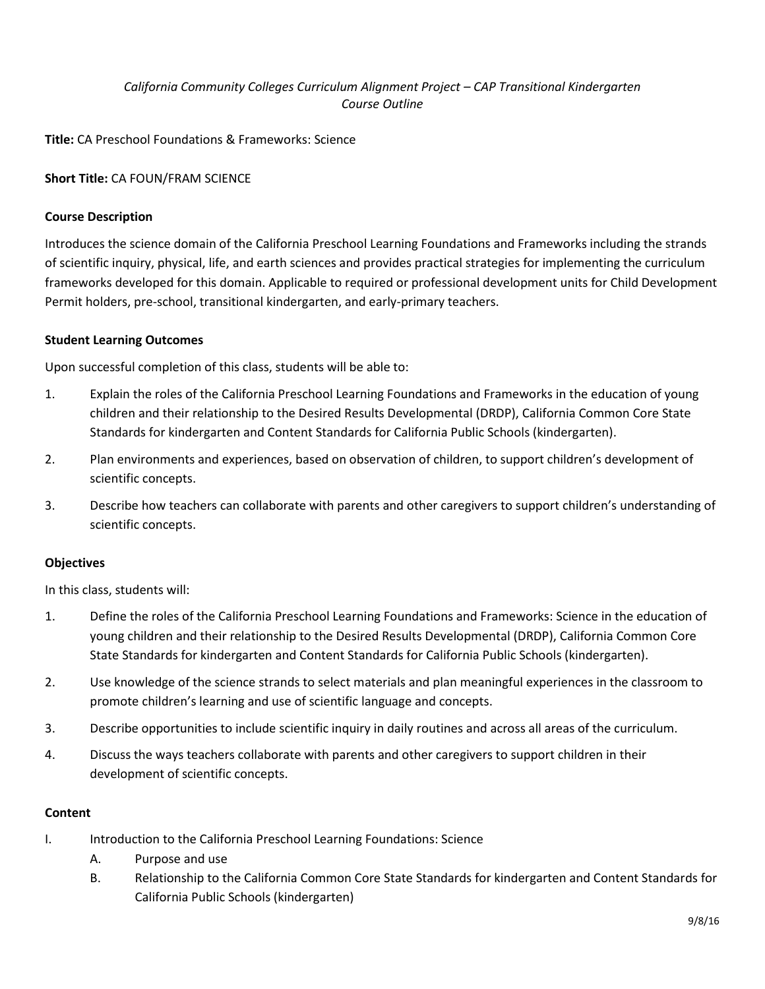# *California Community Colleges Curriculum Alignment Project – CAP Transitional Kindergarten Course Outline*

**Title:** CA Preschool Foundations & Frameworks: Science

## **Short Title:** CA FOUN/FRAM SCIENCE

### **Course Description**

Introduces the science domain of the California Preschool Learning Foundations and Frameworks including the strands of scientific inquiry, physical, life, and earth sciences and provides practical strategies for implementing the curriculum frameworks developed for this domain. Applicable to required or professional development units for Child Development Permit holders, pre-school, transitional kindergarten, and early-primary teachers.

### **Student Learning Outcomes**

Upon successful completion of this class, students will be able to:

- 1. Explain the roles of the California Preschool Learning Foundations and Frameworks in the education of young children and their relationship to the Desired Results Developmental (DRDP), California Common Core State Standards for kindergarten and Content Standards for California Public Schools (kindergarten).
- 2. Plan environments and experiences, based on observation of children, to support children's development of scientific concepts.
- 3. Describe how teachers can collaborate with parents and other caregivers to support children's understanding of scientific concepts.

### **Objectives**

In this class, students will:

- 1. Define the roles of the California Preschool Learning Foundations and Frameworks: Science in the education of young children and their relationship to the Desired Results Developmental (DRDP), California Common Core State Standards for kindergarten and Content Standards for California Public Schools (kindergarten).
- 2. Use knowledge of the science strands to select materials and plan meaningful experiences in the classroom to promote children's learning and use of scientific language and concepts.
- 3. Describe opportunities to include scientific inquiry in daily routines and across all areas of the curriculum.
- 4. Discuss the ways teachers collaborate with parents and other caregivers to support children in their development of scientific concepts.

### **Content**

- I. Introduction to the California Preschool Learning Foundations: Science
	- A. Purpose and use
	- B. Relationship to the California Common Core State Standards for kindergarten and Content Standards for California Public Schools (kindergarten)